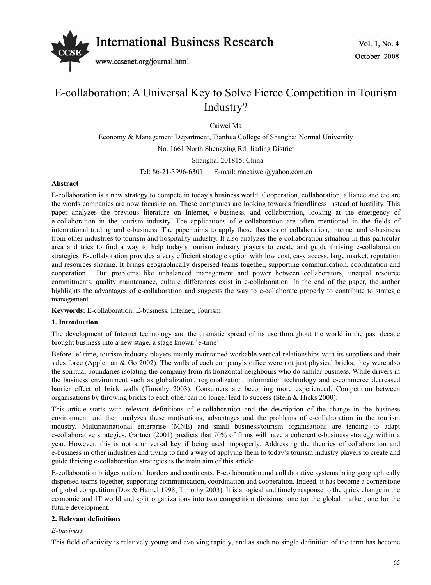

# E-collaboration: A Universal Key to Solve Fierce Competition in Tourism Industry?

Caiwei Ma

Economy & Management Department, Tianhua College of Shanghai Normal University No. 1661 North Shengxing Rd, Jiading District Shanghai 201815, China

Tel: 86-21-3996-6301 E-mail: macaiwei@yahoo.com.cn

## **Abstract**

E-collaboration is a new strategy to compete in today's business world. Cooperation, collaboration, alliance and etc are the words companies are now focusing on. These companies are looking towards friendliness instead of hostility. This paper analyzes the previous literature on Internet, e-business, and collaboration, looking at the emergency of e-collaboration in the tourism industry. The applications of e-collaboration are often mentioned in the fields of international trading and e-business. The paper aims to apply those theories of collaboration, internet and e-business from other industries to tourism and hospitality industry. It also analyzes the e-collaboration situation in this particular area and tries to find a way to help today's tourism industry players to create and guide thriving e-collaboration strategies. E-collaboration provides a very efficient strategic option with low cost, easy access, large market, reputation and resources sharing. It brings geographically dispersed teams together, supporting communication, coordination and cooperation. But problems like unbalanced management and power between collaborators, unequal resource commitments, quality maintenance, culture differences exist in e-collaboration. In the end of the paper, the author highlights the advantages of e-collaboration and suggests the way to e-collaborate properly to contribute to strategic management.

**Keywords:** E-collaboration, E-business, Internet, Tourism

# **1. Introduction**

The development of Internet technology and the dramatic spread of its use throughout the world in the past decade brought business into a new stage, a stage known 'e-time'.

Before 'e' time, tourism industry players mainly maintained workable vertical relationships with its suppliers and their sales force (Appleman & Go 2002). The walls of each company's office were not just physical bricks; they were also the spiritual boundaries isolating the company from its horizontal neighbours who do similar business. While drivers in the business environment such as globalization, regionalization, information technology and e-commerce decreased barrier effect of brick walls (Timothy 2003). Consumers are becoming more experienced. Competition between organisations by throwing bricks to each other can no longer lead to success (Stern & Hicks 2000).

This article starts with relevant definitions of e-collaboration and the description of the change in the business environment and then analyzes these motivations, advantages and the problems of e-collaboration in the tourism industry. Multinatinational enterprise (MNE) and small business/tourism organisations are tending to adapt e-collaborative strategies. Gartner (2001) predicts that 70% of firms will have a coherent e-business strategy within a year. However, this is not a universal key if being used improperly. Addressing the theories of collaboration and e-business in other industries and trying to find a way of applying them to today's tourism industry players to create and guide thriving e-collaboration strategies is the main aim of this article.

E-collaboration bridges national borders and continents. E-collaboration and collaborative systems bring geographically dispersed teams together, supporting communication, coordination and cooperation. Indeed, it has become a cornerstone of global competition (Doz & Hamel 1998; Timothy 2003). It is a logical and timely response to the quick change in the economic and IT world and split organizations into two competition divisions: one for the global market, one for the future development.

# **2. Relevant definitions**

## *E-business*

This field of activity is relatively young and evolving rapidly, and as such no single definition of the term has become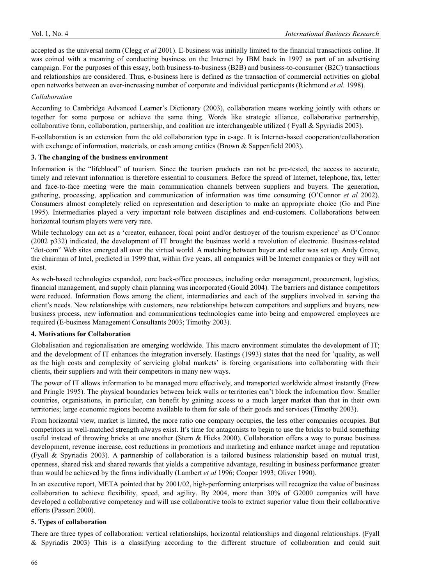accepted as the universal norm (Clegg *et al* 2001). E-business was initially limited to the financial transactions online. It was coined with a meaning of conducting business on the Internet by IBM back in 1997 as part of an advertising campaign. For the purposes of this essay, both business-to-business (B2B) and business-to-consumer (B2C) transactions and relationships are considered. Thus, e-business here is defined as the transaction of commercial activities on global open networks between an ever-increasing number of corporate and individual participants (Richmond *et al*. 1998).

#### *Collaboration*

According to Cambridge Advanced Learner's Dictionary (2003), collaboration means working jointly with others or together for some purpose or achieve the same thing. Words like strategic alliance, collaborative partnership, collaborative form, collaboration, partnership, and coalition are interchangeable utilized ( Fyall & Spyriadis 2003).

E-collaboration is an extension from the old collaboration type in e-age. It is Internet-based cooperation/collaboration with exchange of information, materials, or cash among entities (Brown & Sappenfield 2003).

## **3. The changing of the business environment**

Information is the "lifeblood" of tourism. Since the tourism products can not be pre-tested, the access to accurate, timely and relevant information is therefore essential to consumers. Before the spread of Internet, telephone, fax, letter and face-to-face meeting were the main communication channels between suppliers and buyers. The generation, gathering, processing, application and communication of information was time consuming (O'Connor *et al* 2002). Consumers almost completely relied on representation and description to make an appropriate choice (Go and Pine 1995). Intermediaries played a very important role between disciplines and end-customers. Collaborations between horizontal tourism players were very rare.

While technology can act as a 'creator, enhancer, focal point and/or destroyer of the tourism experience' as O'Connor (2002 p332) indicated, the development of IT brought the business world a revolution of electronic. Business-related "dot-com" Web sites emerged all over the virtual world. A matching between buyer and seller was set up. Andy Grove, the chairman of Intel, predicted in 1999 that, within five years, all companies will be Internet companies or they will not exist.

As web-based technologies expanded, core back-office processes, including order management, procurement, logistics, financial management, and supply chain planning was incorporated (Gould 2004). The barriers and distance competitors were reduced. Information flows among the client, intermediaries and each of the suppliers involved in serving the client's needs. New relationships with customers, new relationships between competitors and suppliers and buyers, new business process, new information and communications technologies came into being and empowered employees are required (E-business Management Consultants 2003; Timothy 2003).

# **4. Motivations for Collaboration**

Globalisation and regionalisation are emerging worldwide. This macro environment stimulates the development of IT; and the development of IT enhances the integration inversely. Hastings (1993) states that the need for 'quality, as well as the high costs and complexity of servicing global markets' is forcing organisations into collaborating with their clients, their suppliers and with their competitors in many new ways.

The power of IT allows information to be managed more effectively, and transported worldwide almost instantly (Frew and Pringle 1995). The physical boundaries between brick walls or territories can't block the information flow. Smaller countries, organisations, in particular, can benefit by gaining access to a much larger market than that in their own territories; large economic regions become available to them for sale of their goods and services (Timothy 2003).

From horizontal view, market is limited, the more ratio one company occupies, the less other companies occupies. But competitors in well-matched strength always exist. It's time for antagonists to begin to use the bricks to build something useful instead of throwing bricks at one another (Stern & Hicks 2000). Collaboration offers a way to pursue business development, revenue increase, cost reductions in promotions and marketing and enhance market image and reputation (Fyall & Spyriadis 2003). A partnership of collaboration is a tailored business relationship based on mutual trust, openness, shared risk and shared rewards that yields a competitive advantage, resulting in business performance greater than would be achieved by the firms individually (Lambert *et al* 1996; Cooper 1993; Oliver 1990).

In an executive report, META pointed that by 2001/02, high-performing enterprises will recognize the value of business collaboration to achieve flexibility, speed, and agility. By 2004, more than 30% of G2000 companies will have developed a collaborative competency and will use collaborative tools to extract superior value from their collaborative efforts (Passori 2000).

#### **5. Types of collaboration**

There are three types of collaboration: vertical relationships, horizontal relationships and diagonal relationships. (Fyall & Spyriadis 2003) This is a classifying according to the different structure of collaboration and could suit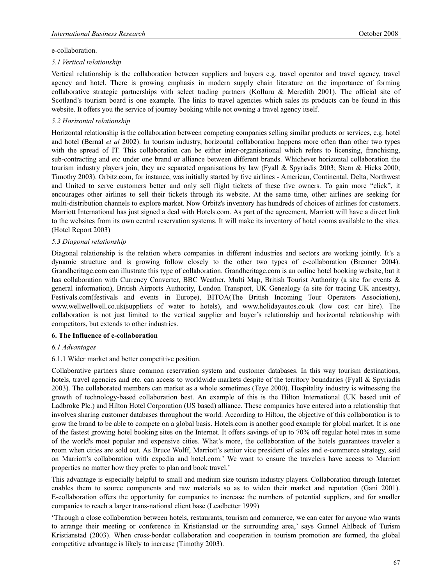# *5.1 Vertical relationship*

Vertical relationship is the collaboration between suppliers and buyers e.g. travel operator and travel agency, travel agency and hotel. There is growing emphasis in modern supply chain literature on the importance of forming collaborative strategic partnerships with select trading partners (Kolluru & Meredith 2001). The official site of Scotland's tourism board is one example. The links to travel agencies which sales its products can be found in this website. It offers you the service of journey booking while not owning a travel agency itself.

# *5.2 Horizontal relationship*

Horizontal relationship is the collaboration between competing companies selling similar products or services, e.g. hotel and hotel (Bernal *et al* 2002). In tourism industry, horizontal collaboration happens more often than other two types with the spread of IT. This collaboration can be either inter-organisational which refers to licensing, franchising, sub-contracting and etc under one brand or alliance between different brands. Whichever horizontal collaboration the tourism industry players join, they are separated organisations by law (Fyall & Spyriadis 2003; Stern & Hicks 2000; Timothy 2003). Orbitz.com, for instance, was initially started by five airlines - American, Continental, Delta, Northwest and United to serve customers better and only sell flight tickets of these five owners. To gain more "click", it encourages other airlines to sell their tickets through its website. At the same time, other airlines are seeking for multi-distribution channels to explore market. Now Orbitz's inventory has hundreds of choices of airlines for customers. Marriott International has just signed a deal with Hotels.com. As part of the agreement, Marriott will have a direct link to the websites from its own central reservation systems. It will make its inventory of hotel rooms available to the sites. (Hotel Report 2003)

# *5.3 Diagonal relationship*

Diagonal relationship is the relation where companies in different industries and sectors are working jointly. It's a dynamic structure and is growing follow closely to the other two types of e-collaboration (Brenner 2004). Grandheritage.com can illustrate this type of collaboration. Grandheritage.com is an online hotel booking website, but it has collaboration with Currency Converter, BBC Weather, Multi Map, British Tourist Authority (a site for events & general information), British Airports Authority, London Transport, UK Genealogy (a site for tracing UK ancestry), Festivals.com(festivals and events in Europe), BITOA(The British Incoming Tour Operators Association), www.wellwellwell.co.uk(suppliers of water to hotels), and www.holidayautos.co.uk (low cost car hire). The collaboration is not just limited to the vertical supplier and buyer's relationship and horizontal relationship with competitors, but extends to other industries.

# **6. The Influence of e-collaboration**

# *6.1 Advantages*

# 6.1.1 Wider market and better competitive position.

Collaborative partners share common reservation system and customer databases. In this way tourism destinations, hotels, travel agencies and etc. can access to worldwide markets despite of the territory boundaries (Fyall & Spyriadis 2003). The collaborated members can market as a whole sometimes (Teye 2000). Hospitality industry is witnessing the growth of technology-based collaboration best. An example of this is the Hilton International (UK based unit of Ladbroke Plc.) and Hilton Hotel Corporation (US based) alliance. These companies have entered into a relationship that involves sharing customer databases throughout the world. According to Hilton, the objective of this collaboration is to grow the brand to be able to compete on a global basis. Hotels.com is another good example for global market. It is one of the fastest growing hotel booking sites on the Internet. It offers savings of up to 70% off regular hotel rates in some of the world's most popular and expensive cities. What's more, the collaboration of the hotels guarantees traveler a room when cities are sold out. As Bruce Wolff, Marriott's senior vice president of sales and e-commerce strategy, said on Marriott's collaboration with expedia and hotel.com:' We want to ensure the travelers have access to Marriott properties no matter how they prefer to plan and book travel.'

This advantage is especially helpful to small and medium size tourism industry players. Collaboration through Internet enables them to source components and raw materials so as to widen their market and reputation (Gani 2001). E-collaboration offers the opportunity for companies to increase the numbers of potential suppliers, and for smaller companies to reach a larger trans-national client base (Leadbetter 1999)

'Through a close collaboration between hotels, restaurants, tourism and commerce, we can cater for anyone who wants to arrange their meeting or conference in Kristianstad or the surrounding area,' says Gunnel Ahlbeck of Turism Kristianstad (2003). When cross-border collaboration and cooperation in tourism promotion are formed, the global competitive advantage is likely to increase (Timothy 2003).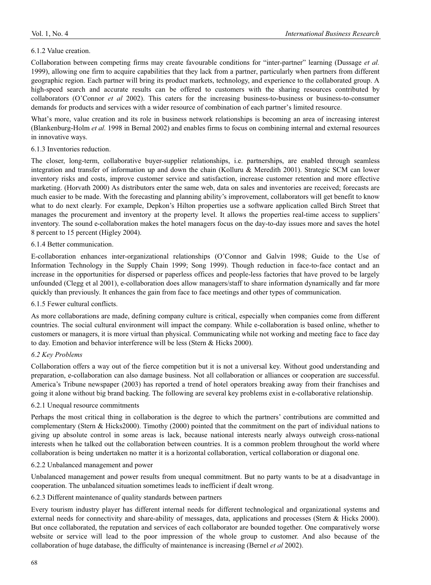# 6.1.2 Value creation.

Collaboration between competing firms may create favourable conditions for "inter-partner" learning (Dussage *et al.* 1999), allowing one firm to acquire capabilities that they lack from a partner, particularly when partners from different geographic region. Each partner will bring its product markets, technology, and experience to the collaborated group. A high-speed search and accurate results can be offered to customers with the sharing resources contributed by collaborators (O'Connor *et al* 2002). This caters for the increasing business-to-business or business-to-consumer demands for products and services with a wider resource of combination of each partner's limited resource.

What's more, value creation and its role in business network relationships is becoming an area of increasing interest (Blankenburg-Holm *et al.* 1998 in Bernal 2002) and enables firms to focus on combining internal and external resources in innovative ways.

# 6.1.3 Inventories reduction.

The closer, long-term, collaborative buyer-supplier relationships, i.e. partnerships, are enabled through seamless integration and transfer of information up and down the chain (Kolluru & Meredith 2001). Strategic SCM can lower inventory risks and costs, improve customer service and satisfaction, increase customer retention and more effective marketing. (Horvath 2000) As distributors enter the same web, data on sales and inventories are received; forecasts are much easier to be made. With the forecasting and planning ability's improvement, collaborators will get benefit to know what to do next clearly. For example, Depkon's Hilton properties use a software application called Birch Street that manages the procurement and inventory at the property level. It allows the properties real-time access to suppliers' inventory. The sound e-collaboration makes the hotel managers focus on the day-to-day issues more and saves the hotel 8 percent to 15 percent (Higley 2004).

# 6.1.4 Better communication.

E-collaboration enhances inter-organizational relationships (O'Connor and Galvin 1998; Guide to the Use of Information Technology in the Supply Chain 1999; Song 1999). Though reduction in face-to-face contact and an increase in the opportunities for dispersed or paperless offices and people-less factories that have proved to be largely unfounded (Clegg et al 2001), e-collaboration does allow managers/staff to share information dynamically and far more quickly than previously. It enhances the gain from face to face meetings and other types of communication.

# 6.1.5 Fewer cultural conflicts.

As more collaborations are made, defining company culture is critical, especially when companies come from different countries. The social cultural environment will impact the company. While e-collaboration is based online, whether to customers or managers, it is more virtual than physical. Communicating while not working and meeting face to face day to day. Emotion and behavior interference will be less (Stern & Hicks 2000).

# *6.2 Key Problems*

Collaboration offers a way out of the fierce competition but it is not a universal key. Without good understanding and preparation, e-collaboration can also damage business. Not all collaboration or alliances or cooperation are successful. America's Tribune newspaper (2003) has reported a trend of hotel operators breaking away from their franchises and going it alone without big brand backing. The following are several key problems exist in e-collaborative relationship.

# 6.2.1 Unequal resource commitments

Perhaps the most critical thing in collaboration is the degree to which the partners' contributions are committed and complementary (Stern & Hicks2000). Timothy (2000) pointed that the commitment on the part of individual nations to giving up absolute control in some areas is lack, because national interests nearly always outweigh cross-national interests when he talked out the collaboration between countries. It is a common problem throughout the world where collaboration is being undertaken no matter it is a horizontal collaboration, vertical collaboration or diagonal one.

# 6.2.2 Unbalanced management and power

Unbalanced management and power results from unequal commitment. But no party wants to be at a disadvantage in cooperation. The unbalanced situation sometimes leads to inefficient if dealt wrong.

# 6.2.3 Different maintenance of quality standards between partners

Every tourism industry player has different internal needs for different technological and organizational systems and external needs for connectivity and share-ability of messages, data, applications and processes (Stern & Hicks 2000). But once collaborated, the reputation and services of each collaborator are bounded together. One comparatively worse website or service will lead to the poor impression of the whole group to customer. And also because of the collaboration of huge database, the difficulty of maintenance is increasing (Bernel *et al* 2002).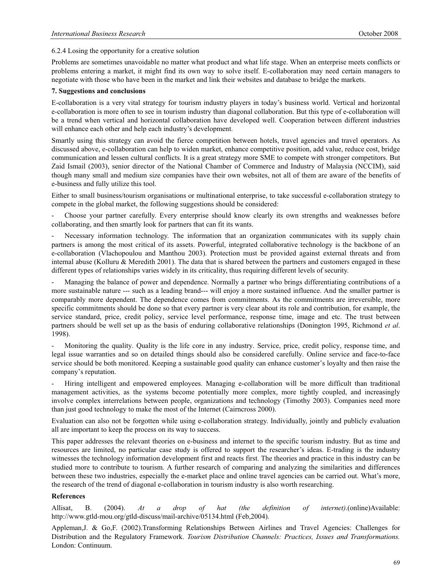## 6.2.4 Losing the opportunity for a creative solution

Problems are sometimes unavoidable no matter what product and what life stage. When an enterprise meets conflicts or problems entering a market, it might find its own way to solve itself. E-collaboration may need certain managers to negotiate with those who have been in the market and link their websites and database to bridge the markets.

#### **7. Suggestions and conclusions**

E-collaboration is a very vital strategy for tourism industry players in today's business world. Vertical and horizontal e-collaboration is more often to see in tourism industry than diagonal collaboration. But this type of e-collaboration will be a trend when vertical and horizontal collaboration have developed well. Cooperation between different industries will enhance each other and help each industry's development.

Smartly using this strategy can avoid the fierce competition between hotels, travel agencies and travel operators. As discussed above, e-collaboration can help to widen market, enhance competitive position, add value, reduce cost, bridge communication and lessen cultural conflicts. It is a great strategy more SME to compete with stronger competitors. But Zaid Ismail (2003), senior director of the National Chamber of Commerce and Industry of Malaysia (NCCIM), said though many small and medium size companies have their own websites, not all of them are aware of the benefits of e-business and fully utilize this tool.

Either to small business/tourism organisations or multinational enterprise, to take successful e-collaboration strategy to compete in the global market, the following suggestions should be considered:

- Choose your partner carefully. Every enterprise should know clearly its own strengths and weaknesses before collaborating, and then smartly look for partners that can fit its wants.

Necessary information technology. The information that an organization communicates with its supply chain partners is among the most critical of its assets. Powerful, integrated collaborative technology is the backbone of an e-collaboration (Vlachopoulou and Manthou 2003). Protection must be provided against external threats and from internal abuse (Kolluru & Meredith 2001). The data that is shared between the partners and customers engaged in these different types of relationships varies widely in its criticality, thus requiring different levels of security.

- Managing the balance of power and dependence. Normally a partner who brings differentiating contributions of a more sustainable nature --- such as a leading brand--- will enjoy a more sustained influence. And the smaller partner is comparably more dependent. The dependence comes from commitments. As the commitments are irreversible, more specific commitments should be done so that every partner is very clear about its role and contribution, for example, the service standard, price, credit policy, service level performance, response time, image and etc. The trust between partners should be well set up as the basis of enduring collaborative relationships (Donington 1995, Richmond *et al*. 1998).

- Monitoring the quality. Quality is the life core in any industry. Service, price, credit policy, response time, and legal issue warranties and so on detailed things should also be considered carefully. Online service and face-to-face service should be both monitored. Keeping a sustainable good quality can enhance customer's loyalty and then raise the company's reputation.

- Hiring intelligent and empowered employees. Managing e-collaboration will be more difficult than traditional management activities, as the systems become potentially more complex, more tightly coupled, and increasingly involve complex interrelations between people, organizations and technology (Timothy 2003). Companies need more than just good technology to make the most of the Internet (Cairncross 2000).

Evaluation can also not be forgotten while using e-collaboration strategy. Individually, jointly and publicly evaluation all are important to keep the process on its way to success.

This paper addresses the relevant theories on e-business and internet to the specific tourism industry. But as time and resources are limited, no particular case study is offered to support the researcher's ideas. E-trading is the industry witnesses the technology information development first and reacts first. The theories and practice in this industry can be studied more to contribute to tourism. A further research of comparing and analyzing the similarities and differences between these two industries, especially the e-market place and online travel agencies can be carried out. What's more, the research of the trend of diagonal e-collaboration in tourism industry is also worth researching.

#### **References**

Allisat, B. (2004). *At a drop of hat (the definition of internet)*.(online)Available: http://www.gtld-mou.org/gtld-discuss/mail-archive/05134.html (Feb,2004).

Appleman,J. & Go,F. (2002).Transforming Relationships Between Airlines and Travel Agencies: Challenges for Distribution and the Regulatory Framework. *Tourism Distribution Channels: Practices, Issues and Transformations.* London: Continuum.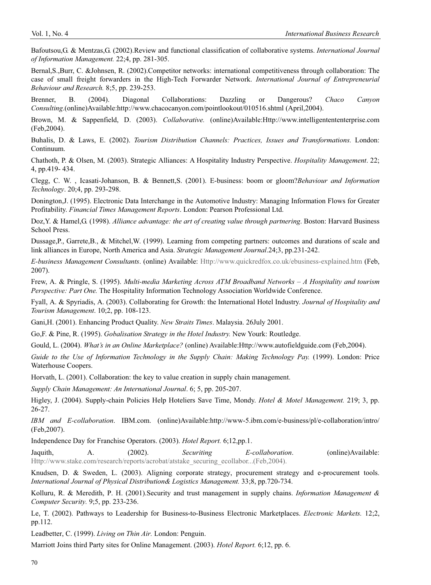Bafoutsou,G. & Mentzas,G. (2002).Review and functional classification of collaborative systems. *International Journal of Information Management.* 22;4, pp. 281-305.

Bernal,S.,Burr, C. &Johnsen, R. (2002).Competitor networks: international competitiveness through collaboration: The case of small freight forwarders in the High-Tech Forwarder Network. *International Journal of Entrepreneurial Behaviour and Research.* 8;5, pp. 239-253.

Brenner, B. (2004). Diagonal Collaborations: Dazzling or Dangerous? *Chaco Canyon Consulting*.(online)Available:http://www.chacocanyon.com/pointlookout/010516.shtml (April,2004).

Brown, M. & Sappenfield, D. (2003). *Collaborative.* (online)Available:Http://www.intelligentententerprise.com (Feb,2004).

Buhalis, D. & Laws, E. (2002). *Tourism Distribution Channels: Practices, Issues and Transformations.* London: Continuum.

Chathoth, P. & Olsen, M. (2003). Strategic Alliances: A Hospitality Industry Perspective. *Hospitality Management*. 22; 4, pp.419- 434.

Clegg, C. W. , Icasati-Johanson, B. & Bennett,S. (2001). E-business: boom or gloom?*Behaviour and Information Technology*. 20;4, pp. 293-298.

Donington,J. (1995). Electronic Data Interchange in the Automotive Industry: Managing Information Flows for Greater Profitability. *Financial Times Management Reports*. London: Pearson Professional Ltd.

Doz,Y. & Hamel,G. (1998). *Alliance advantage: the art of creating value through partnering*. Boston: Harvard Business School Press.

Dussage,P., Garrete,B., & Mitchel,W. (1999). Learning from competing partners: outcomes and durations of scale and link alliances in Europe, North America and Asia. *Strategic Management Journal*.24;3, pp.231-242.

*E-business Management Consultants*. (online) Available: Http://www.quickredfox.co.uk/ebusiness-explained.htm (Feb, 2007).

Frew, A. & Pringle, S. (1995). *Multi-media Marketing Across ATM Broadband Networks – A Hospitality and tourism Perspective: Part One.* The Hospitality Information Technology Association Worldwide Conference.

Fyall, A. & Spyriadis, A. (2003). Collaborating for Growth: the International Hotel Industry. *Journal of Hospitality and Tourism Management*. 10;2, pp. 108-123.

Gani,H. (2001). Enhancing Product Quality. *New Straits Times*. Malaysia. 26July 2001.

Go,F. & Pine, R. (1995). *Gobalisation Strategy in the Hotel Industry.* New Yourk: Routledge.

Gould, L. (2004). *What's in an Online Marketplace?* (online) Available:Http://www.autofieldguide.com (Feb,2004).

*Guide to the Use of Information Technology in the Supply Chain: Making Technology Pay.* (1999). London: Price Waterhouse Coopers.

Horvath, L. (2001). Collaboration: the key to value creation in supply chain management.

*Supply Chain Management: An International Journal*. 6; 5, pp. 205-207.

Higley, J. (2004). Supply-chain Policies Help Hoteliers Save Time, Mondy. *Hotel & Motel Management.* 219; 3, pp. 26-27.

*IBM and E-collaboration*. IBM.com. (online)Available:http://www-5.ibm.com/e-business/pl/e-collaboration/intro/ (Feb,2007).

Independence Day for Franchise Operators. (2003). *Hotel Report.* 6;12,pp.1.

Jaquith, A. (2002). *Securiting E-collaboration*. (online)Available: Http://www.stake.com/research/reports/acrobat/atstake\_securing\_ecollabor...(Feb,2004).

Knudsen, D. & Sweden, L. (2003). Aligning corporate strategy, procurement strategy and e-procurement tools. *International Journal of Physical Distribution& Logistics Management.* 33;8, pp.720-734.

Kolluru, R. & Meredith, P. H. (2001).Security and trust management in supply chains. *Information Management & Computer Security.* 9;5, pp. 233-236.

Le, T. (2002). Pathways to Leadership for Business-to-Business Electronic Marketplaces. *Electronic Markets.* 12;2, pp.112.

Leadbetter, C. (1999). *Living on Thin Air.* London: Penguin.

Marriott Joins third Party sites for Online Management. (2003). *Hotel Report.* 6;12, pp. 6.